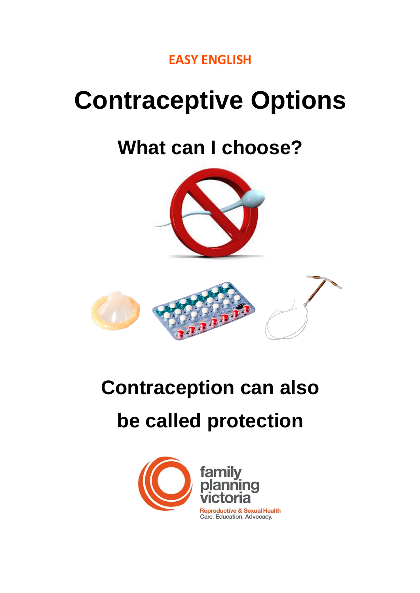

# **Contraceptive Options**

# **What can I choose?**





# **Contraception can also be called protection**

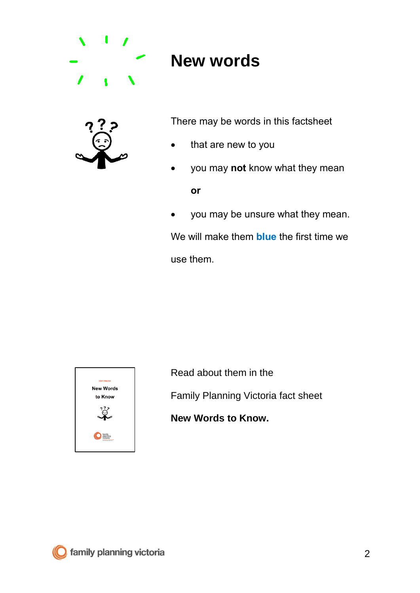

### **New words**



There may be words in this factsheet

- that are new to you
- you may **not** know what they mean **or**
- you may be unsure what they mean.

We will make them **blue** the first time we use them.



Read about them in the Family Planning Victoria fact sheet

**New Words to Know.**

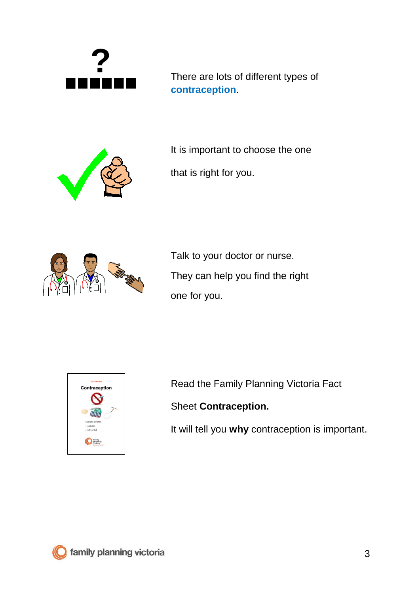

There are lots of different types of **contraception**.



It is important to choose the one

that is right for you.



Talk to your doctor or nurse. They can help you find the right one for you.



Read the Family Planning Victoria Fact

Sheet **Contraception.** 

It will tell you **why** contraception is important.

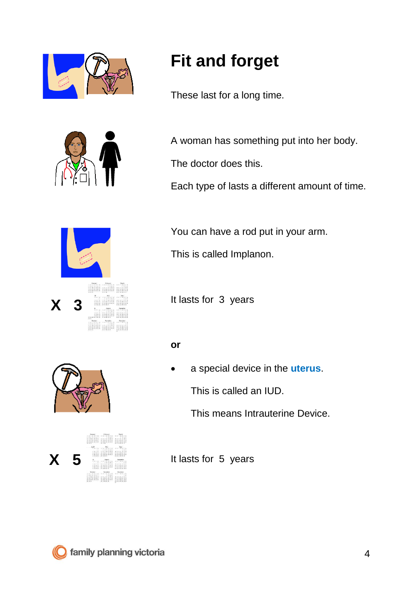



## **Fit and forget**

These last for a long time.

A woman has something put into her body.

The doctor does this.

Each type of lasts a different amount of time.



You can have a rod put in your arm.

This is called Implanon.

It lasts for 3 years

#### **or**

• a special device in the **uterus**.

This is called an IUD.

This means Intrauterine Device.

**X 5 It lasts for 5 years**  $\begin{tabular}{cccccc} \multicolumn{1}{c}{\multicolumn{1}{c}{\multicolumn{1}{c}{\multicolumn{1}{c}{\multicolumn{1}{c}{\multicolumn{1}{c}{\multicolumn{1}{c}{\multicolumn{1}{c}{\multicolumn{1}{c}{\multicolumn{1}{c}{\multicolumn{1}{c}{\multicolumn{1}{c}{\multicolumn{1}{c}{\text{}}}}}}}}}} \quad \multicolumn{1}{c}{\hspace{-1.2cm} \multicolumn{1}{c}{\hspace{-1.2cm} \multicolumn{1}{c}{\hspace{-1.2cm} \multicolumn{1}{c}{\hspace{-1.2cm} \multicolumn{1}{c}{\hspace$ 

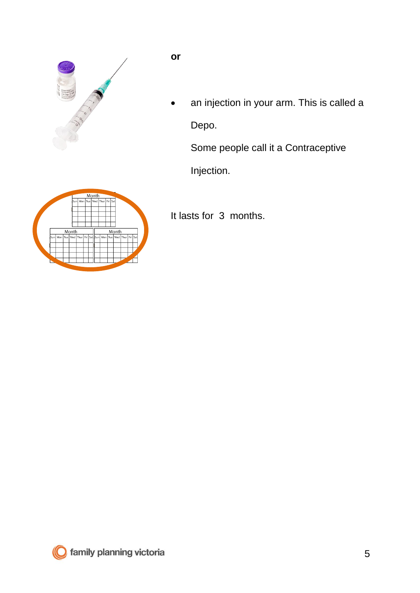

**or**

• an injection in your arm. This is called a Depo.

Some people call it a Contraceptive

Injection.

It lasts for 3 months.



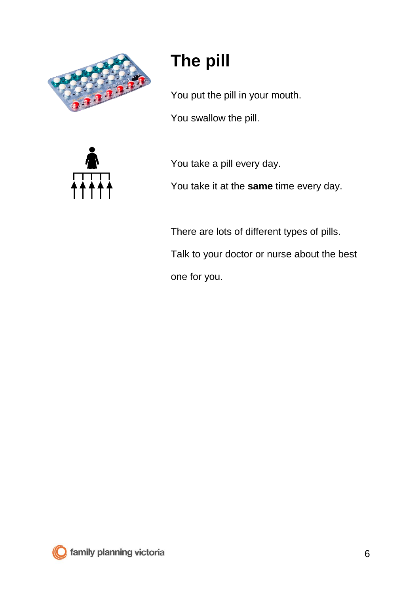

# **The pill**

You put the pill in your mouth.

You swallow the pill.



You take a pill every day.

You take it at the **same** time every day.

There are lots of different types of pills. Talk to your doctor or nurse about the best one for you.

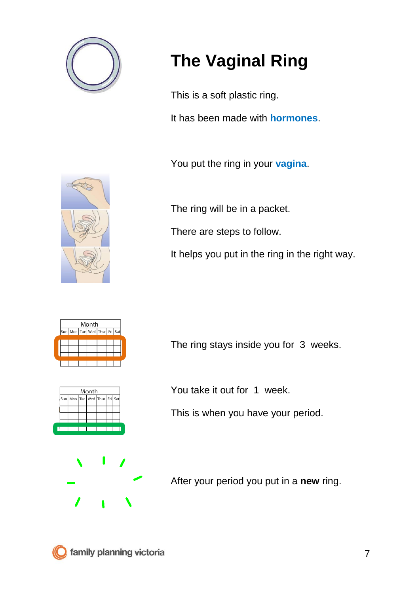

# **The Vaginal Ring**

This is a soft plastic ring.

It has been made with **hormones**.

You put the ring in your **vagina**.

The ring will be in a packet.

There are steps to follow.

It helps you put in the ring in the right way.



The ring stays inside you for 3 weeks.

| Month |                                          |  |  |  |  |  |
|-------|------------------------------------------|--|--|--|--|--|
|       | Sun   Mon   Tue   Wed   Thur   Fri   Sat |  |  |  |  |  |
|       |                                          |  |  |  |  |  |
|       |                                          |  |  |  |  |  |
|       |                                          |  |  |  |  |  |
|       |                                          |  |  |  |  |  |

You take it out for 1 week.

This is when you have your period.

After your period you put in a **new** ring.

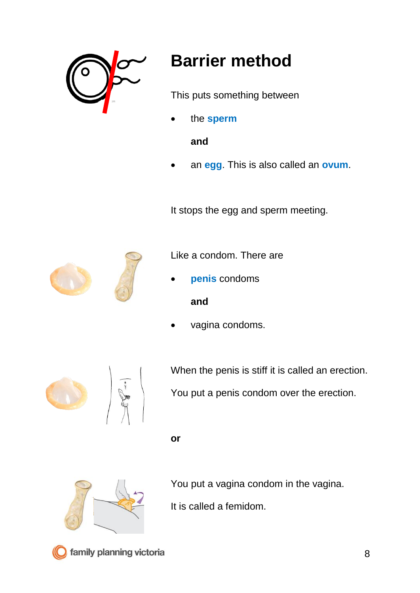

## **Barrier method**

This puts something between

• the **sperm**

**and** 

• an **egg**. This is also called an **ovum**.

It stops the egg and sperm meeting.



Like a condom. There are

• **penis** condoms

#### **and**

vagina condoms.





When the penis is stiff it is called an erection.

You put a penis condom over the erection.

**or**



You put a vagina condom in the vagina.

It is called a femidom.



family planning victoria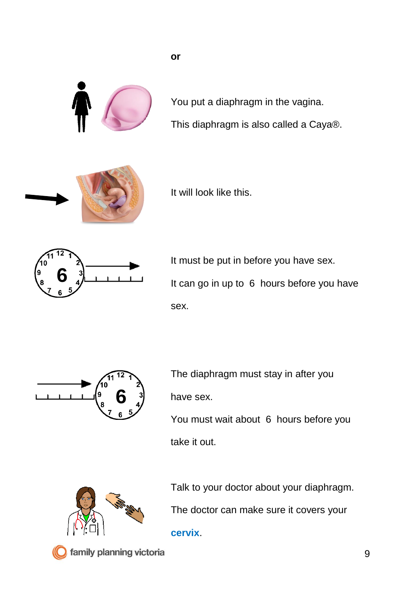

You put a diaphragm in the vagina. This diaphragm is also called a Caya®.



It will look like this.

**or**



It must be put in before you have sex. It can go in up to 6 hours before you have sex.



The diaphragm must stay in after you have sex.

You must wait about 6 hours before you take it out.



Talk to your doctor about your diaphragm. The doctor can make sure it covers your

**cervix**.



family planning victoria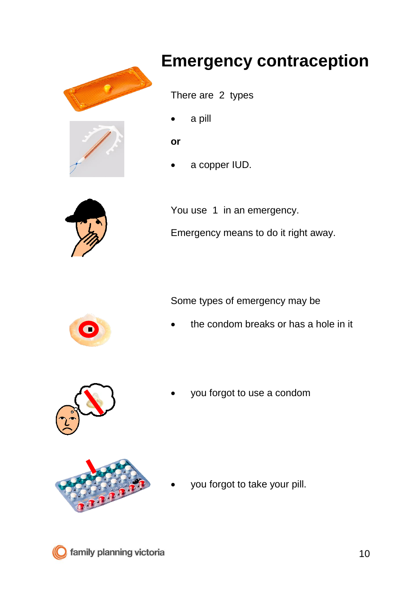



## **Emergency contraception**

There are 2 types

a pill

**or**

• a copper IUD.



You use 1 in an emergency. Emergency means to do it right away.

Some types of emergency may be

the condom breaks or has a hole in it



you forgot to use a condom



you forgot to take your pill.

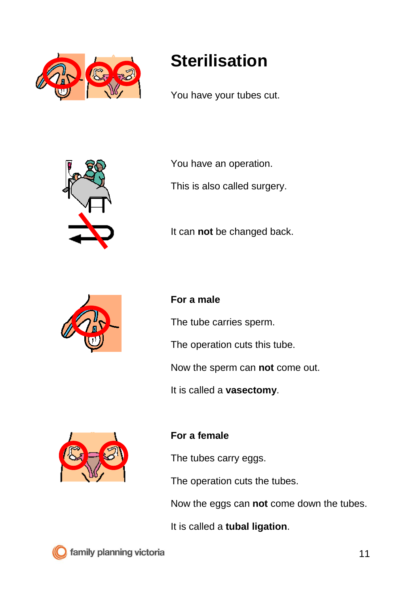

### **Sterilisation**

You have your tubes cut.



You have an operation.

This is also called surgery.

It can **not** be changed back.



#### **For a male**

The tube carries sperm.

The operation cuts this tube.

Now the sperm can **not** come out.

It is called a **vasectomy**.



#### **For a female**

The tubes carry eggs.

The operation cuts the tubes.

Now the eggs can **not** come down the tubes.

It is called a **tubal ligation**.

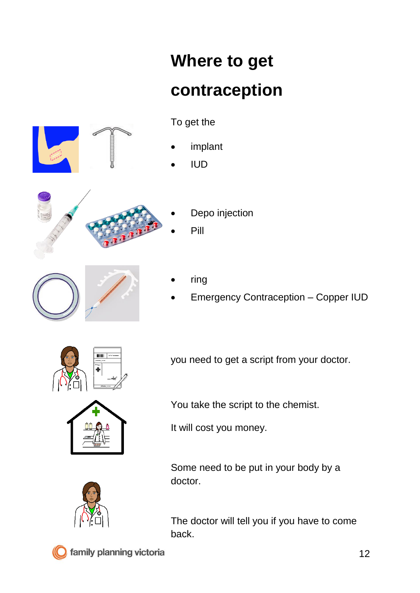# **Where to get contraception**



To get the

- **implant**
- IUD



- Depo injection
- Pill



- ring
- Emergency Contraception Copper IUD



you need to get a script from your doctor.

You take the script to the chemist.

It will cost you money.

Some need to be put in your body by a doctor.

The doctor will tell you if you have to come back.



family planning victoria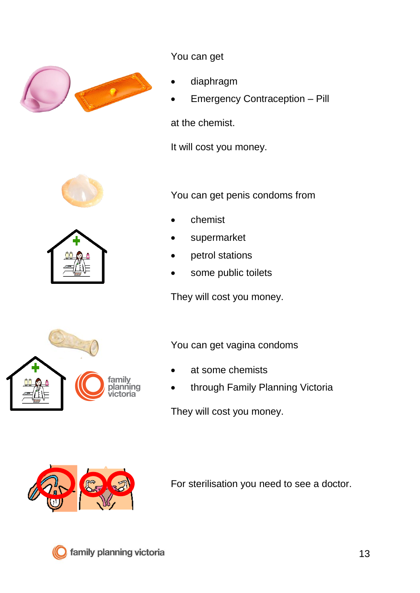

You can get

- diaphragm
- Emergency Contraception Pill

at the chemist.

It will cost you money.





You can get penis condoms from

- chemist
- supermarket
- petrol stations
- some public toilets

They will cost you money.

You can get vagina condoms

- at some chemists
- through Family Planning Victoria

They will cost you money.



For sterilisation you need to see a doctor.



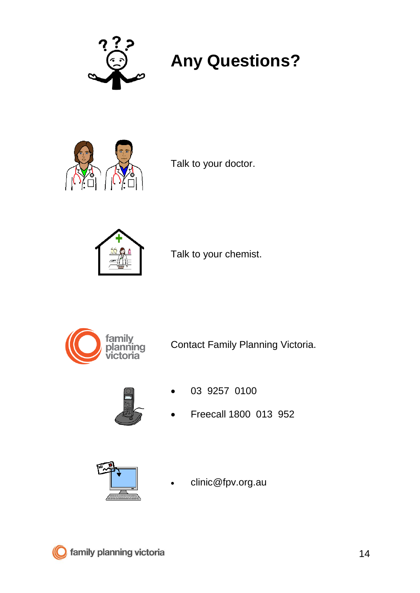

## **Any Questions?**



Talk to your doctor.



Talk to your chemist.



Contact Family Planning Victoria.



- 03 9257 0100
- Freecall 1800 013 952



• clinic@fpv.org.au